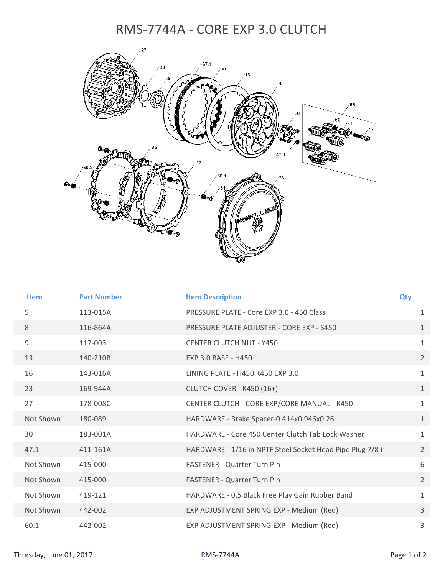## RMS‐7744A ‐ CORE EXP 3.0 CLUTCH



| <b>Item</b> | <b>Part Number</b> | <b>Item Description</b>                                   | Qty            |
|-------------|--------------------|-----------------------------------------------------------|----------------|
| 5           | 113-015A           | PRESSURE PLATE - Core EXP 3.0 - 450 Class                 | $\mathbf{1}$   |
| 8           | 116-864A           | PRESSURE PLATE ADJUSTER - CORE EXP - S450                 | $\mathbf{1}$   |
| 9           | 117-003            | <b>CENTER CLUTCH NUT - Y450</b>                           | $\mathbf{1}$   |
| 13          | 140-210B           | EXP 3.0 BASE - H450                                       | $\overline{2}$ |
| 16          | 143-016A           | LINING PLATE - H450 K450 EXP 3.0                          | $\mathbf{1}$   |
| 23          | 169-944A           | CLUTCH COVER - K450 (16+)                                 | $\mathbf{1}$   |
| 27          | 178-008C           | CENTER CLUTCH - CORE EXP/CORE MANUAL - K450               | $\mathbf{1}$   |
| Not Shown   | 180-089            | HARDWARE - Brake Spacer-0.414x0.946x0.26                  | $\mathbf{1}$   |
| 30          | 183-001A           | HARDWARE - Core 450 Center Clutch Tab Lock Washer         | $\mathbf{1}$   |
| 47.1        | 411-161A           | HARDWARE - 1/16 in NPTF Steel Socket Head Pipe Plug 7/8 i | $\overline{2}$ |
| Not Shown   | 415-000            | <b>FASTENER - Quarter Turn Pin</b>                        | 6              |
| Not Shown   | 415-000            | <b>FASTENER - Quarter Turn Pin</b>                        | $\overline{2}$ |
| Not Shown   | 419-121            | HARDWARE - 0.5 Black Free Play Gain Rubber Band           | $\mathbf{1}$   |
| Not Shown   | 442-002            | EXP ADJUSTMENT SPRING EXP - Medium (Red)                  | 3              |
| 60.1        | 442-002            | EXP ADJUSTMENT SPRING EXP - Medium (Red)                  | 3              |